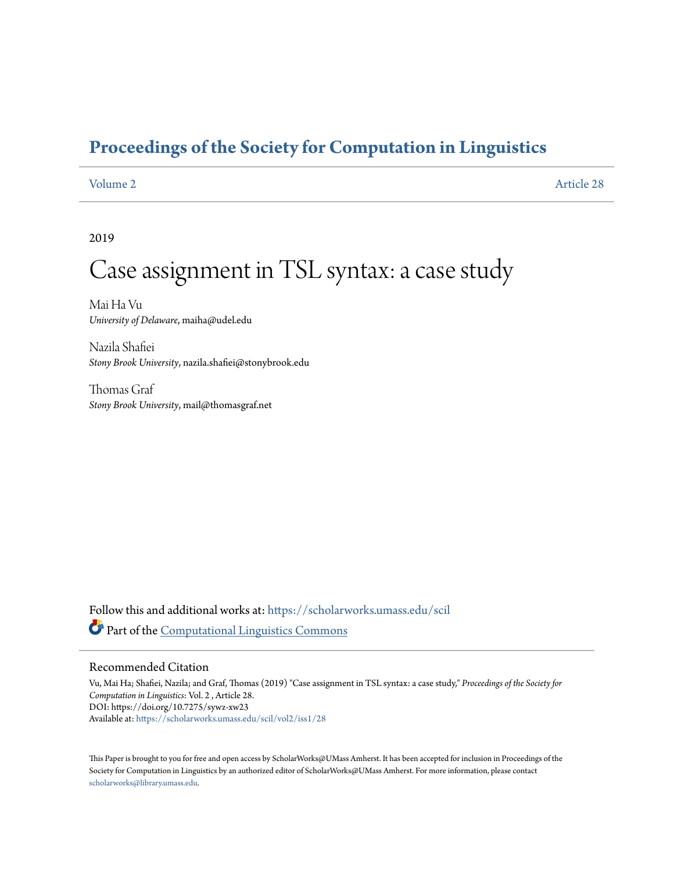## **[Proceedings of the Society for Computation in Linguistics](https://scholarworks.umass.edu/scil?utm_source=scholarworks.umass.edu%2Fscil%2Fvol2%2Fiss1%2F28&utm_medium=PDF&utm_campaign=PDFCoverPages)**

[Volume 2](https://scholarworks.umass.edu/scil/vol2?utm_source=scholarworks.umass.edu%2Fscil%2Fvol2%2Fiss1%2F28&utm_medium=PDF&utm_campaign=PDFCoverPages) [Article 28](https://scholarworks.umass.edu/scil/vol2/iss1/28?utm_source=scholarworks.umass.edu%2Fscil%2Fvol2%2Fiss1%2F28&utm_medium=PDF&utm_campaign=PDFCoverPages)

2019

# Case assignment in TSL syntax: a case study

Mai Ha Vu *University of Delaware*, maiha@udel.edu

Nazila Shafiei *Stony Brook University*, nazila.shafiei@stonybrook.edu

Thomas Graf *Stony Brook University*, mail@thomasgraf.net

Follow this and additional works at: [https://scholarworks.umass.edu/scil](https://scholarworks.umass.edu/scil?utm_source=scholarworks.umass.edu%2Fscil%2Fvol2%2Fiss1%2F28&utm_medium=PDF&utm_campaign=PDFCoverPages) Part of the [Computational Linguistics Commons](http://network.bepress.com/hgg/discipline/375?utm_source=scholarworks.umass.edu%2Fscil%2Fvol2%2Fiss1%2F28&utm_medium=PDF&utm_campaign=PDFCoverPages)

### Recommended Citation

Vu, Mai Ha; Shafiei, Nazila; and Graf, Thomas (2019) "Case assignment in TSL syntax: a case study," *Proceedings of the Society for Computation in Linguistics*: Vol. 2 , Article 28. DOI: https://doi.org/10.7275/sywz-xw23 Available at: [https://scholarworks.umass.edu/scil/vol2/iss1/28](https://scholarworks.umass.edu/scil/vol2/iss1/28?utm_source=scholarworks.umass.edu%2Fscil%2Fvol2%2Fiss1%2F28&utm_medium=PDF&utm_campaign=PDFCoverPages)

This Paper is brought to you for free and open access by ScholarWorks@UMass Amherst. It has been accepted for inclusion in Proceedings of the Society for Computation in Linguistics by an authorized editor of ScholarWorks@UMass Amherst. For more information, please contact [scholarworks@library.umass.edu](mailto:scholarworks@library.umass.edu).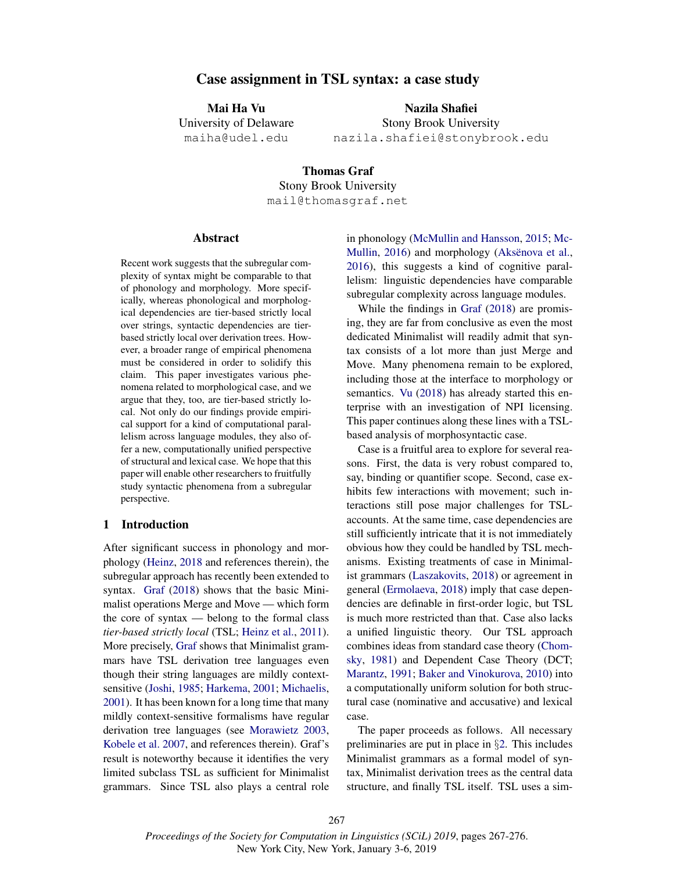#### Case assignment in TSL syntax: a case study

Mai Ha Vu University of Delaware maiha@udel.edu

Nazila Shafiei Stony Brook University nazila.shafiei@stonybrook.edu

Thomas Graf Stony Brook University mail@thomasgraf.net

#### Abstract

Recent work suggests that the subregular complexity of syntax might be comparable to that of phonology and morphology. More specifically, whereas phonological and morphological dependencies are tier-based strictly local over strings, syntactic dependencies are tierbased strictly local over derivation trees. However, a broader range of empirical phenomena must be considered in order to solidify this claim. This paper investigates various phenomena related to morphological case, and we argue that they, too, are tier-based strictly local. Not only do our findings provide empirical support for a kind of computational parallelism across language modules, they also offer a new, computationally unified perspective of structural and lexical case. We hope that this paper will enable other researchers to fruitfully study syntactic phenomena from a subregular perspective.

#### 1 Introduction

After significant success in phonology and morphology (Heinz, 2018 and references therein), the subregular approach has recently been extended to syntax. Graf (2018) shows that the basic Minimalist operations Merge and Move — which form the core of syntax — belong to the formal class *tier-based strictly local* (TSL; Heinz et al., 2011). More precisely, Graf shows that Minimalist grammars have TSL derivation tree languages even though their string languages are mildly contextsensitive (Joshi, 1985; Harkema, 2001; Michaelis, 2001). It has been known for a long time that many mildly context-sensitive formalisms have regular derivation tree languages (see Morawietz 2003, Kobele et al. 2007, and references therein). Graf's result is noteworthy because it identifies the very limited subclass TSL as sufficient for Minimalist grammars. Since TSL also plays a central role in phonology (McMullin and Hansson, 2015; Mc-Mullin, 2016) and morphology (Aksënova et al., 2016), this suggests a kind of cognitive parallelism: linguistic dependencies have comparable subregular complexity across language modules.

While the findings in Graf (2018) are promising, they are far from conclusive as even the most dedicated Minimalist will readily admit that syntax consists of a lot more than just Merge and Move. Many phenomena remain to be explored, including those at the interface to morphology or semantics. Vu (2018) has already started this enterprise with an investigation of NPI licensing. This paper continues along these lines with a TSLbased analysis of morphosyntactic case.

Case is a fruitful area to explore for several reasons. First, the data is very robust compared to, say, binding or quantifier scope. Second, case exhibits few interactions with movement; such interactions still pose major challenges for TSLaccounts. At the same time, case dependencies are still sufficiently intricate that it is not immediately obvious how they could be handled by TSL mechanisms. Existing treatments of case in Minimalist grammars (Laszakovits, 2018) or agreement in general (Ermolaeva, 2018) imply that case dependencies are definable in first-order logic, but TSL is much more restricted than that. Case also lacks a unified linguistic theory. Our TSL approach combines ideas from standard case theory (Chomsky, 1981) and Dependent Case Theory (DCT; Marantz, 1991; Baker and Vinokurova, 2010) into a computationally uniform solution for both structural case (nominative and accusative) and lexical case.

The paper proceeds as follows. All necessary preliminaries are put in place in §2. This includes Minimalist grammars as a formal model of syntax, Minimalist derivation trees as the central data structure, and finally TSL itself. TSL uses a sim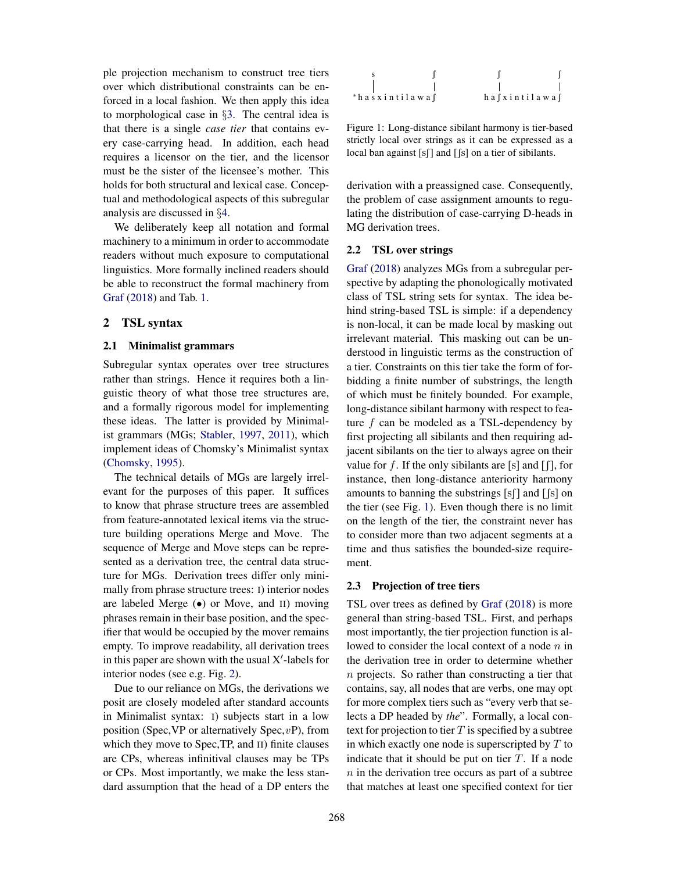ple projection mechanism to construct tree tiers over which distributional constraints can be enforced in a local fashion. We then apply this idea to morphological case in §3. The central idea is that there is a single *case tier* that contains every case-carrying head. In addition, each head requires a licensor on the tier, and the licensor must be the sister of the licensee's mother. This holds for both structural and lexical case. Conceptual and methodological aspects of this subregular analysis are discussed in §4.

We deliberately keep all notation and formal machinery to a minimum in order to accommodate readers without much exposure to computational linguistics. More formally inclined readers should be able to reconstruct the formal machinery from Graf (2018) and Tab. 1.

#### 2 TSL syntax

#### 2.1 Minimalist grammars

Subregular syntax operates over tree structures rather than strings. Hence it requires both a linguistic theory of what those tree structures are, and a formally rigorous model for implementing these ideas. The latter is provided by Minimalist grammars (MGs; Stabler, 1997, 2011), which implement ideas of Chomsky's Minimalist syntax (Chomsky, 1995).

The technical details of MGs are largely irrelevant for the purposes of this paper. It suffices to know that phrase structure trees are assembled from feature-annotated lexical items via the structure building operations Merge and Move. The sequence of Merge and Move steps can be represented as a derivation tree, the central data structure for MGs. Derivation trees differ only minimally from phrase structure trees: I) interior nodes are labeled Merge  $\left( \bullet \right)$  or Move, and II) moving phrases remain in their base position, and the specifier that would be occupied by the mover remains empty. To improve readability, all derivation trees in this paper are shown with the usual  $X'$ -labels for interior nodes (see e.g. Fig. 2).

Due to our reliance on MGs, the derivations we posit are closely modeled after standard accounts in Minimalist syntax: I) subjects start in a low position (Spec, VP or alternatively Spec,  $vP$ ), from which they move to Spec,TP, and II) finite clauses are CPs, whereas infinitival clauses may be TPs or CPs. Most importantly, we make the less standard assumption that the head of a DP enters the



Figure 1: Long-distance sibilant harmony is tier-based strictly local over strings as it can be expressed as a local ban against  $[s]$  and  $[s]$  on a tier of sibilants.

derivation with a preassigned case. Consequently, the problem of case assignment amounts to regulating the distribution of case-carrying D-heads in MG derivation trees.

#### 2.2 TSL over strings

Graf (2018) analyzes MGs from a subregular perspective by adapting the phonologically motivated class of TSL string sets for syntax. The idea behind string-based TSL is simple: if a dependency is non-local, it can be made local by masking out irrelevant material. This masking out can be understood in linguistic terms as the construction of a tier. Constraints on this tier take the form of forbidding a finite number of substrings, the length of which must be finitely bounded. For example, long-distance sibilant harmony with respect to feature  $f$  can be modeled as a TSL-dependency by first projecting all sibilants and then requiring adjacent sibilants on the tier to always agree on their value for f. If the only sibilants are [s] and  $[$ f], for instance, then long-distance anteriority harmony amounts to banning the substrings  $[s]$  and  $[s]$  on the tier (see Fig. 1). Even though there is no limit on the length of the tier, the constraint never has to consider more than two adjacent segments at a time and thus satisfies the bounded-size requirement.

#### 2.3 Projection of tree tiers

TSL over trees as defined by Graf (2018) is more general than string-based TSL. First, and perhaps most importantly, the tier projection function is allowed to consider the local context of a node  $n$  in the derivation tree in order to determine whether n projects. So rather than constructing a tier that contains, say, all nodes that are verbs, one may opt for more complex tiers such as "every verb that selects a DP headed by *the*". Formally, a local context for projection to tier  $T$  is specified by a subtree in which exactly one node is superscripted by  $T$  to indicate that it should be put on tier  $T$ . If a node  $n$  in the derivation tree occurs as part of a subtree that matches at least one specified context for tier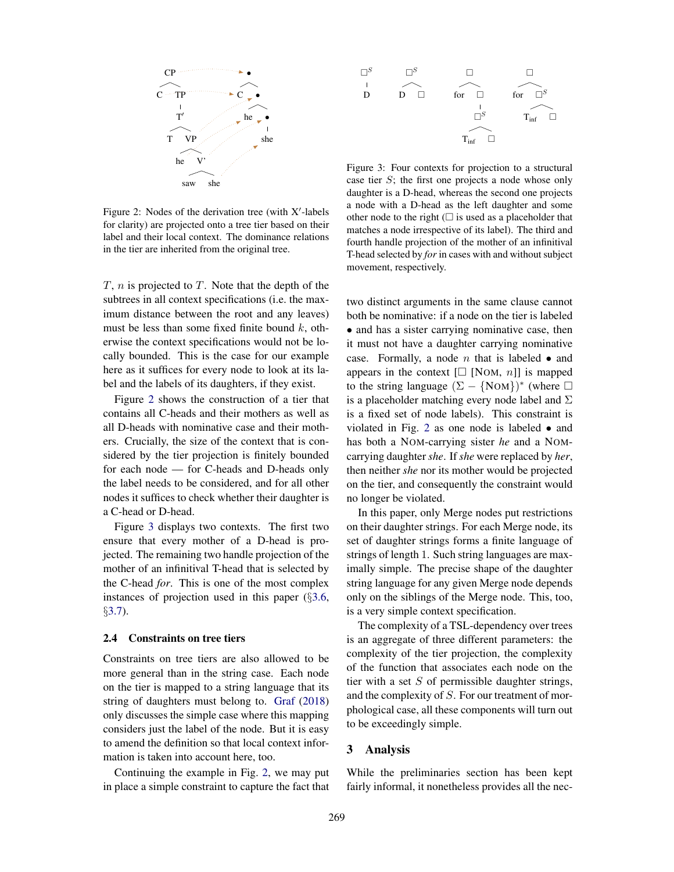

Figure 2: Nodes of the derivation tree (with  $X'$ -labels for clarity) are projected onto a tree tier based on their label and their local context. The dominance relations in the tier are inherited from the original tree.

 $T$ ,  $n$  is projected to  $T$ . Note that the depth of the subtrees in all context specifications (i.e. the maximum distance between the root and any leaves) must be less than some fixed finite bound  $k$ , otherwise the context specifications would not be locally bounded. This is the case for our example here as it suffices for every node to look at its label and the labels of its daughters, if they exist.

Figure 2 shows the construction of a tier that contains all C-heads and their mothers as well as all D-heads with nominative case and their mothers. Crucially, the size of the context that is considered by the tier projection is finitely bounded for each node — for C-heads and D-heads only the label needs to be considered, and for all other nodes it suffices to check whether their daughter is a C-head or D-head.

Figure 3 displays two contexts. The first two ensure that every mother of a D-head is projected. The remaining two handle projection of the mother of an infinitival T-head that is selected by the C-head *for*. This is one of the most complex instances of projection used in this paper (§3.6, §3.7).

#### 2.4 Constraints on tree tiers

Constraints on tree tiers are also allowed to be more general than in the string case. Each node on the tier is mapped to a string language that its string of daughters must belong to. Graf (2018) only discusses the simple case where this mapping considers just the label of the node. But it is easy to amend the definition so that local context information is taken into account here, too.

Continuing the example in Fig. 2, we may put in place a simple constraint to capture the fact that



Figure 3: Four contexts for projection to a structural case tier S; the first one projects a node whose only daughter is a D-head, whereas the second one projects a node with a D-head as the left daughter and some other node to the right  $(\square$  is used as a placeholder that matches a node irrespective of its label). The third and fourth handle projection of the mother of an infinitival T-head selected by *for* in cases with and without subject movement, respectively.

two distinct arguments in the same clause cannot both be nominative: if a node on the tier is labeled • and has a sister carrying nominative case, then it must not have a daughter carrying nominative case. Formally, a node  $n$  that is labeled  $\bullet$  and appears in the context  $[\Box \text{ [NOM, } n]]$  is mapped to the string language  $(\Sigma - \{NOM\})^*$  (where  $\square$ is a placeholder matching every node label and  $\Sigma$ is a fixed set of node labels). This constraint is violated in Fig. 2 as one node is labeled • and has both a NOM-carrying sister *he* and a NOMcarrying daughter *she*. If *she* were replaced by *her*, then neither *she* nor its mother would be projected on the tier, and consequently the constraint would no longer be violated.

In this paper, only Merge nodes put restrictions on their daughter strings. For each Merge node, its set of daughter strings forms a finite language of strings of length 1. Such string languages are maximally simple. The precise shape of the daughter string language for any given Merge node depends only on the siblings of the Merge node. This, too, is a very simple context specification.

The complexity of a TSL-dependency over trees is an aggregate of three different parameters: the complexity of the tier projection, the complexity of the function that associates each node on the tier with a set  $S$  of permissible daughter strings, and the complexity of S. For our treatment of morphological case, all these components will turn out to be exceedingly simple.

#### 3 Analysis

While the preliminaries section has been kept fairly informal, it nonetheless provides all the nec-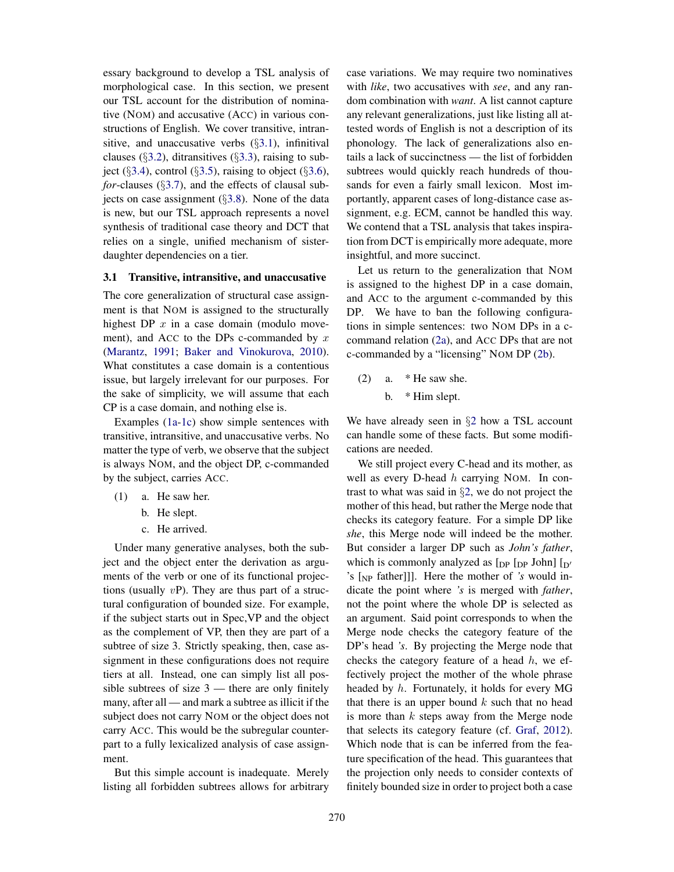essary background to develop a TSL analysis of morphological case. In this section, we present our TSL account for the distribution of nominative (NOM) and accusative (ACC) in various constructions of English. We cover transitive, intransitive, and unaccusative verbs  $(\S3.1)$ , infinitival clauses ( $\S$ 3.2), ditransitives ( $\S$ 3.3), raising to subject ( $\S3.4$ ), control ( $\S3.5$ ), raising to object ( $\S3.6$ ), *for*-clauses (§3.7), and the effects of clausal subjects on case assignment  $(\S3.8)$ . None of the data is new, but our TSL approach represents a novel synthesis of traditional case theory and DCT that relies on a single, unified mechanism of sisterdaughter dependencies on a tier.

#### 3.1 Transitive, intransitive, and unaccusative

The core generalization of structural case assignment is that NOM is assigned to the structurally highest DP  $x$  in a case domain (modulo movement), and ACC to the DPs c-commanded by  $x$ (Marantz, 1991; Baker and Vinokurova, 2010). What constitutes a case domain is a contentious issue, but largely irrelevant for our purposes. For the sake of simplicity, we will assume that each CP is a case domain, and nothing else is.

Examples (1a-1c) show simple sentences with transitive, intransitive, and unaccusative verbs. No matter the type of verb, we observe that the subject is always NOM, and the object DP, c-commanded by the subject, carries ACC.

- (1) a. He saw her.
	- b. He slept.
	- c. He arrived.

Under many generative analyses, both the subject and the object enter the derivation as arguments of the verb or one of its functional projections (usually  $vP$ ). They are thus part of a structural configuration of bounded size. For example, if the subject starts out in Spec,VP and the object as the complement of VP, then they are part of a subtree of size 3. Strictly speaking, then, case assignment in these configurations does not require tiers at all. Instead, one can simply list all possible subtrees of size  $3$  — there are only finitely many, after all — and mark a subtree as illicit if the subject does not carry NOM or the object does not carry ACC. This would be the subregular counterpart to a fully lexicalized analysis of case assignment.

But this simple account is inadequate. Merely listing all forbidden subtrees allows for arbitrary case variations. We may require two nominatives with *like*, two accusatives with *see*, and any random combination with *want*. A list cannot capture any relevant generalizations, just like listing all attested words of English is not a description of its phonology. The lack of generalizations also entails a lack of succinctness — the list of forbidden subtrees would quickly reach hundreds of thousands for even a fairly small lexicon. Most importantly, apparent cases of long-distance case assignment, e.g. ECM, cannot be handled this way. We contend that a TSL analysis that takes inspiration from DCT is empirically more adequate, more insightful, and more succinct.

Let us return to the generalization that NOM is assigned to the highest DP in a case domain, and ACC to the argument c-commanded by this DP. We have to ban the following configurations in simple sentences: two NOM DPs in a ccommand relation (2a), and ACC DPs that are not c-commanded by a "licensing" NOM DP (2b).

 $(2)$  a. \* He saw she. b. \* Him slept.

We have already seen in  $\S2$  how a TSL account can handle some of these facts. But some modifications are needed.

We still project every C-head and its mother, as well as every D-head h carrying NOM. In contrast to what was said in §2, we do not project the mother of this head, but rather the Merge node that checks its category feature. For a simple DP like *she*, this Merge node will indeed be the mother. But consider a larger DP such as *John's father*, which is commonly analyzed as  $[_{DP}$   $[_{DP}$  John]  $[_{D'}$ 's [NP father]]]. Here the mother of *'s* would indicate the point where *'s* is merged with *father*, not the point where the whole DP is selected as an argument. Said point corresponds to when the Merge node checks the category feature of the DP's head *'s*. By projecting the Merge node that checks the category feature of a head  $h$ , we effectively project the mother of the whole phrase headed by h. Fortunately, it holds for every MG that there is an upper bound  $k$  such that no head is more than  $k$  steps away from the Merge node that selects its category feature (cf. Graf, 2012). Which node that is can be inferred from the feature specification of the head. This guarantees that the projection only needs to consider contexts of finitely bounded size in order to project both a case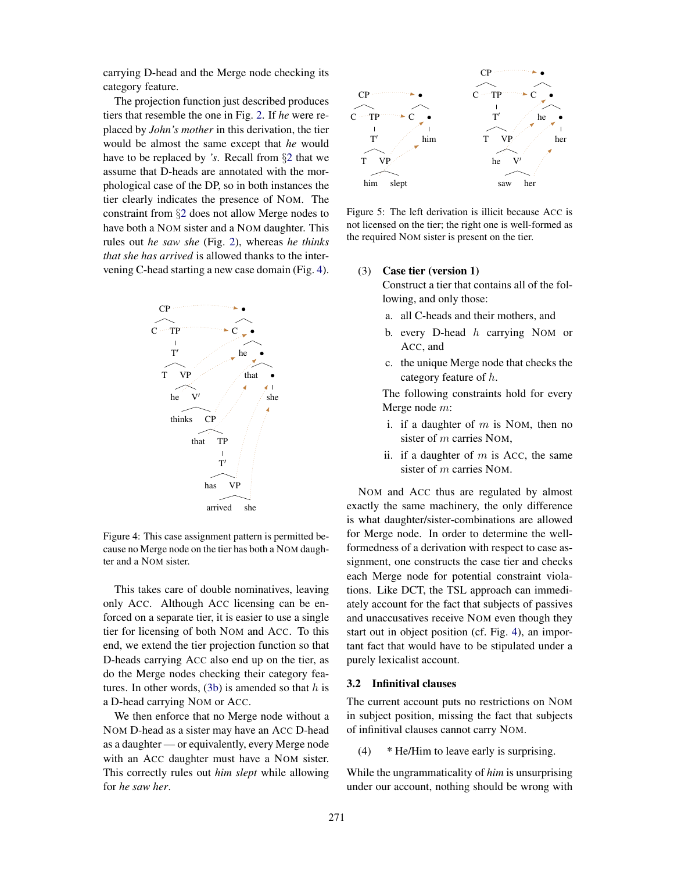carrying D-head and the Merge node checking its category feature.

The projection function just described produces tiers that resemble the one in Fig. 2. If *he* were replaced by *John's mother* in this derivation, the tier would be almost the same except that *he* would have to be replaced by *'s*. Recall from §2 that we assume that D-heads are annotated with the morphological case of the DP, so in both instances the tier clearly indicates the presence of NOM. The constraint from §2 does not allow Merge nodes to have both a NOM sister and a NOM daughter. This rules out *he saw she* (Fig. 2), whereas *he thinks that she has arrived* is allowed thanks to the intervening C-head starting a new case domain (Fig. 4).



Figure 4: This case assignment pattern is permitted because no Merge node on the tier has both a NOM daughter and a NOM sister.

This takes care of double nominatives, leaving only ACC. Although ACC licensing can be enforced on a separate tier, it is easier to use a single tier for licensing of both NOM and ACC. To this end, we extend the tier projection function so that D-heads carrying ACC also end up on the tier, as do the Merge nodes checking their category features. In other words,  $(3b)$  is amended so that h is a D-head carrying NOM or ACC.

We then enforce that no Merge node without a NOM D-head as a sister may have an ACC D-head as a daughter — or equivalently, every Merge node with an ACC daughter must have a NOM sister. This correctly rules out *him slept* while allowing for *he saw her*.



Figure 5: The left derivation is illicit because ACC is not licensed on the tier; the right one is well-formed as the required NOM sister is present on the tier.

#### (3) Case tier (version 1)

Construct a tier that contains all of the following, and only those:

- a. all C-heads and their mothers, and
- b. every D-head  $h$  carrying NOM or ACC, and
- c. the unique Merge node that checks the category feature of h.

The following constraints hold for every Merge node m:

- i. if a daughter of  $m$  is NOM, then no sister of m carries NOM,
- ii. if a daughter of  $m$  is Acc, the same sister of m carries NOM.

NOM and ACC thus are regulated by almost exactly the same machinery, the only difference is what daughter/sister-combinations are allowed for Merge node. In order to determine the wellformedness of a derivation with respect to case assignment, one constructs the case tier and checks each Merge node for potential constraint violations. Like DCT, the TSL approach can immediately account for the fact that subjects of passives and unaccusatives receive NOM even though they start out in object position (cf. Fig. 4), an important fact that would have to be stipulated under a purely lexicalist account.

#### 3.2 Infinitival clauses

The current account puts no restrictions on NOM in subject position, missing the fact that subjects of infinitival clauses cannot carry NOM.

(4) \* He/Him to leave early is surprising.

While the ungrammaticality of *him* is unsurprising under our account, nothing should be wrong with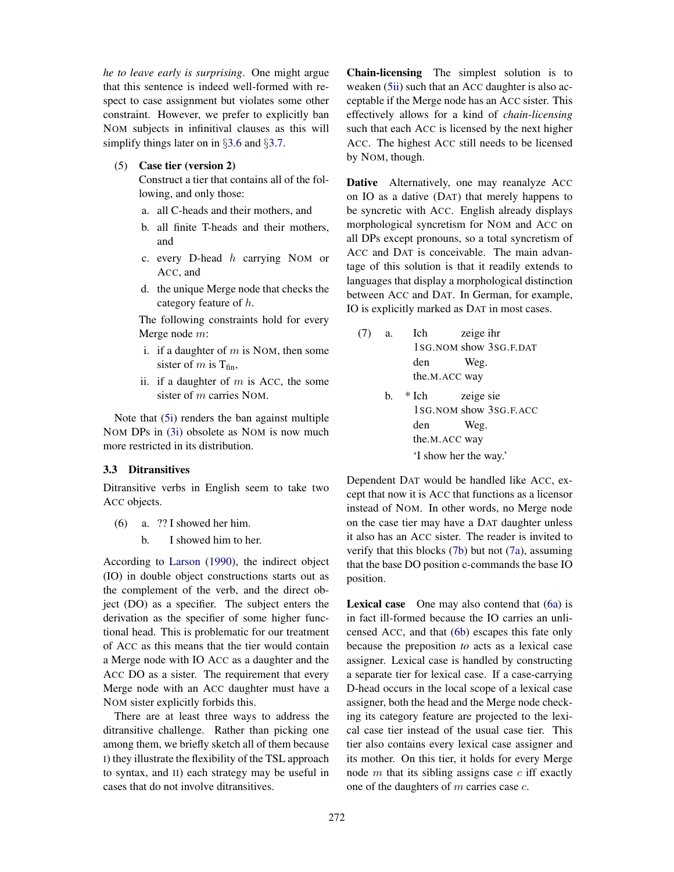*he to leave early is surprising*. One might argue that this sentence is indeed well-formed with respect to case assignment but violates some other constraint. However, we prefer to explicitly ban NOM subjects in infinitival clauses as this will simplify things later on in §3.6 and §3.7.

(5) Case tier (version 2)

Construct a tier that contains all of the following, and only those:

- a. all C-heads and their mothers, and
- b. all finite T-heads and their mothers, and
- c. every D-head  $h$  carrying NOM or ACC, and
- d. the unique Merge node that checks the category feature of h.

The following constraints hold for every Merge node m:

- i. if a daughter of  $m$  is NOM, then some sister of m is  $T_{fin}$ ,
- ii. if a daughter of  $m$  is ACC, the some sister of m carries NOM.

Note that (5i) renders the ban against multiple NOM DPs in (3i) obsolete as NOM is now much more restricted in its distribution.

#### 3.3 Ditransitives

Ditransitive verbs in English seem to take two ACC objects.

- (6) a. ?? I showed her him.
	- b. I showed him to her.

According to Larson (1990), the indirect object (IO) in double object constructions starts out as the complement of the verb, and the direct object (DO) as a specifier. The subject enters the derivation as the specifier of some higher functional head. This is problematic for our treatment of ACC as this means that the tier would contain a Merge node with IO ACC as a daughter and the ACC DO as a sister. The requirement that every Merge node with an ACC daughter must have a NOM sister explicitly forbids this.

There are at least three ways to address the ditransitive challenge. Rather than picking one among them, we briefly sketch all of them because I) they illustrate the flexibility of the TSL approach to syntax, and II) each strategy may be useful in cases that do not involve ditransitives.

Chain-licensing The simplest solution is to weaken (5ii) such that an ACC daughter is also acceptable if the Merge node has an ACC sister. This effectively allows for a kind of *chain-licensing* such that each ACC is licensed by the next higher ACC. The highest ACC still needs to be licensed by NOM, though.

Dative Alternatively, one may reanalyze ACC on IO as a dative (DAT) that merely happens to be syncretic with ACC. English already displays morphological syncretism for NOM and ACC on all DPs except pronouns, so a total syncretism of ACC and DAT is conceivable. The main advantage of this solution is that it readily extends to languages that display a morphological distinction between ACC and DAT. In German, for example, IO is explicitly marked as DAT in most cases.

- (7) a. Ich 1SG.NOM show 3SG.F.DAT zeige ihr den the.M.ACC way Weg.
	- b. \* Ich 1SG.NOM show 3SG.F.ACC zeige sie den the.M.ACC way Weg. 'I show her the way.'

Dependent DAT would be handled like ACC, except that now it is ACC that functions as a licensor instead of NOM. In other words, no Merge node on the case tier may have a DAT daughter unless it also has an ACC sister. The reader is invited to verify that this blocks (7b) but not (7a), assuming that the base DO position c-commands the base IO position.

Lexical case One may also contend that (6a) is in fact ill-formed because the IO carries an unlicensed ACC, and that (6b) escapes this fate only because the preposition *to* acts as a lexical case assigner. Lexical case is handled by constructing a separate tier for lexical case. If a case-carrying D-head occurs in the local scope of a lexical case assigner, both the head and the Merge node checking its category feature are projected to the lexical case tier instead of the usual case tier. This tier also contains every lexical case assigner and its mother. On this tier, it holds for every Merge node  $m$  that its sibling assigns case  $c$  iff exactly one of the daughters of  $m$  carries case  $c$ .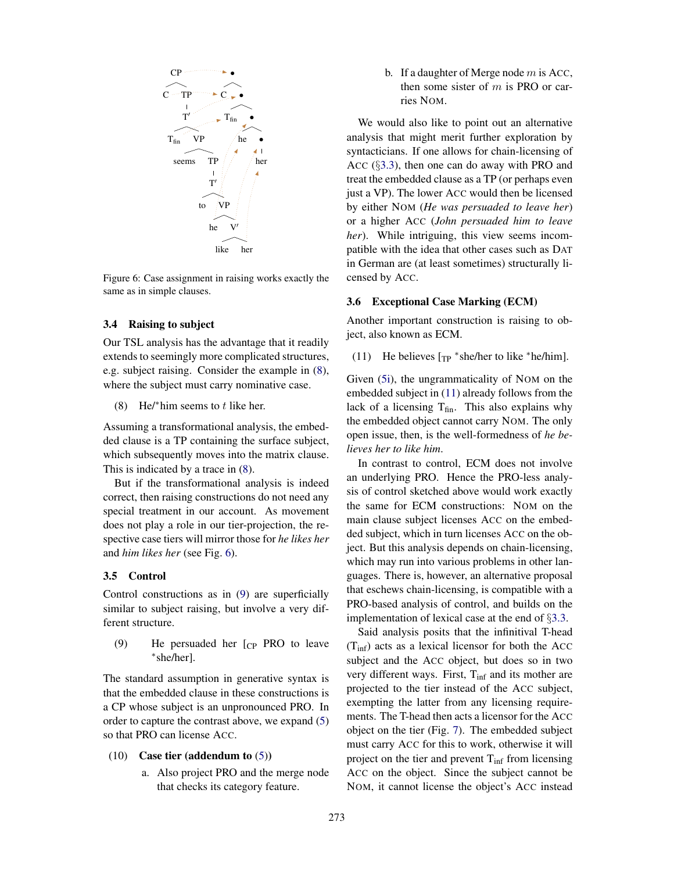

Figure 6: Case assignment in raising works exactly the same as in simple clauses.

#### 3.4 Raising to subject

Our TSL analysis has the advantage that it readily extends to seemingly more complicated structures, e.g. subject raising. Consider the example in (8), where the subject must carry nominative case.

(8) He/\*him seems to  $t$  like her.

Assuming a transformational analysis, the embedded clause is a TP containing the surface subject, which subsequently moves into the matrix clause. This is indicated by a trace in (8).

But if the transformational analysis is indeed correct, then raising constructions do not need any special treatment in our account. As movement does not play a role in our tier-projection, the respective case tiers will mirror those for *he likes her* and *him likes her* (see Fig. 6).

#### 3.5 Control

Control constructions as in (9) are superficially similar to subject raising, but involve a very different structure.

(9) He persuaded her [CP PRO to leave ⇤she/her].

The standard assumption in generative syntax is that the embedded clause in these constructions is a CP whose subject is an unpronounced PRO. In order to capture the contrast above, we expand (5) so that PRO can license ACC.

#### (10) Case tier (addendum to (5))

a. Also project PRO and the merge node that checks its category feature.

b. If a daughter of Merge node  $m$  is Acc, then some sister of  $m$  is PRO or carries NOM.

We would also like to point out an alternative analysis that might merit further exploration by syntacticians. If one allows for chain-licensing of ACC (§3.3), then one can do away with PRO and treat the embedded clause as a TP (or perhaps even just a VP). The lower ACC would then be licensed by either NOM (*He was persuaded to leave her*) or a higher ACC (*John persuaded him to leave her*). While intriguing, this view seems incompatible with the idea that other cases such as DAT in German are (at least sometimes) structurally licensed by ACC.

#### 3.6 Exceptional Case Marking (ECM)

Another important construction is raising to object, also known as ECM.

(11) He believes  $[\text{TP}$  \*she/her to like \*he/him].

Given (5i), the ungrammaticality of NOM on the embedded subject in (11) already follows from the lack of a licensing  $T_{fin}$ . This also explains why the embedded object cannot carry NOM. The only open issue, then, is the well-formedness of *he believes her to like him*.

In contrast to control, ECM does not involve an underlying PRO. Hence the PRO-less analysis of control sketched above would work exactly the same for ECM constructions: NOM on the main clause subject licenses ACC on the embedded subject, which in turn licenses ACC on the object. But this analysis depends on chain-licensing, which may run into various problems in other languages. There is, however, an alternative proposal that eschews chain-licensing, is compatible with a PRO-based analysis of control, and builds on the implementation of lexical case at the end of §3.3.

Said analysis posits that the infinitival T-head  $(T_{\text{inf}})$  acts as a lexical licensor for both the ACC subject and the ACC object, but does so in two very different ways. First, T<sub>inf</sub> and its mother are projected to the tier instead of the ACC subject, exempting the latter from any licensing requirements. The T-head then acts a licensor for the ACC object on the tier (Fig. 7). The embedded subject must carry ACC for this to work, otherwise it will project on the tier and prevent  $T_{\text{inf}}$  from licensing ACC on the object. Since the subject cannot be NOM, it cannot license the object's ACC instead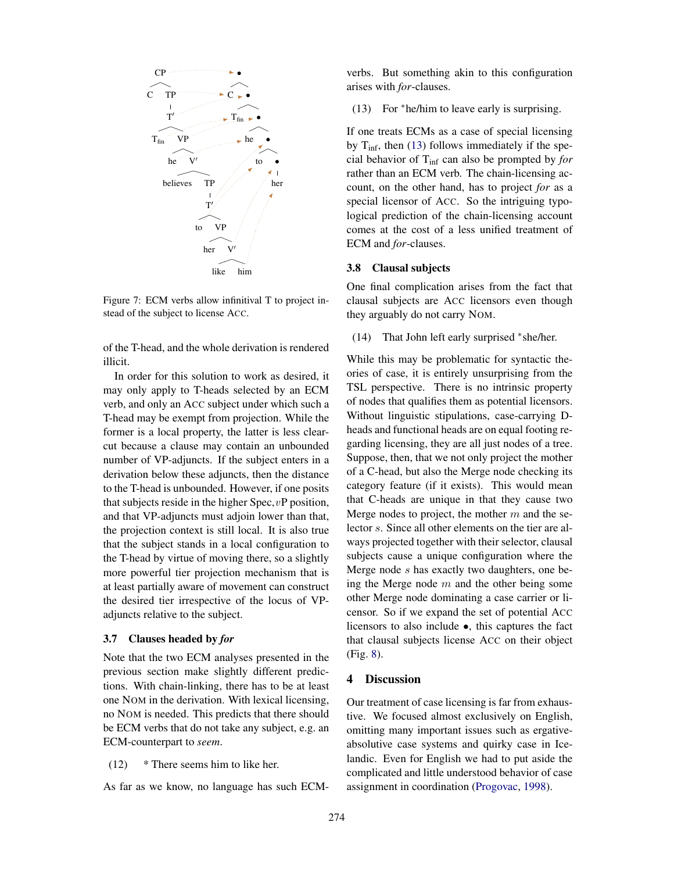

Figure 7: ECM verbs allow infinitival T to project instead of the subject to license ACC.

of the T-head, and the whole derivation is rendered illicit.

In order for this solution to work as desired, it may only apply to T-heads selected by an ECM verb, and only an ACC subject under which such a T-head may be exempt from projection. While the former is a local property, the latter is less clearcut because a clause may contain an unbounded number of VP-adjuncts. If the subject enters in a derivation below these adjuncts, then the distance to the T-head is unbounded. However, if one posits that subjects reside in the higher  $Spec, vP$  position, and that VP-adjuncts must adjoin lower than that, the projection context is still local. It is also true that the subject stands in a local configuration to the T-head by virtue of moving there, so a slightly more powerful tier projection mechanism that is at least partially aware of movement can construct the desired tier irrespective of the locus of VPadjuncts relative to the subject.

#### 3.7 Clauses headed by *for*

Note that the two ECM analyses presented in the previous section make slightly different predictions. With chain-linking, there has to be at least one NOM in the derivation. With lexical licensing, no NOM is needed. This predicts that there should be ECM verbs that do not take any subject, e.g. an ECM-counterpart to *seem*.

(12) \* There seems him to like her.

As far as we know, no language has such ECM-

verbs. But something akin to this configuration arises with *for*-clauses.

 $(13)$  For \*he/him to leave early is surprising.

If one treats ECMs as a case of special licensing by  $T_{\text{inf}}$ , then (13) follows immediately if the special behavior of Tinf can also be prompted by *for* rather than an ECM verb. The chain-licensing account, on the other hand, has to project *for* as a special licensor of ACC. So the intriguing typological prediction of the chain-licensing account comes at the cost of a less unified treatment of ECM and *for*-clauses.

#### 3.8 Clausal subjects

One final complication arises from the fact that clausal subjects are ACC licensors even though they arguably do not carry NOM.

 $(14)$  That John left early surprised \*she/her.

While this may be problematic for syntactic theories of case, it is entirely unsurprising from the TSL perspective. There is no intrinsic property of nodes that qualifies them as potential licensors. Without linguistic stipulations, case-carrying Dheads and functional heads are on equal footing regarding licensing, they are all just nodes of a tree. Suppose, then, that we not only project the mother of a C-head, but also the Merge node checking its category feature (if it exists). This would mean that C-heads are unique in that they cause two Merge nodes to project, the mother  $m$  and the selector s. Since all other elements on the tier are always projected together with their selector, clausal subjects cause a unique configuration where the Merge node s has exactly two daughters, one being the Merge node  $m$  and the other being some other Merge node dominating a case carrier or licensor. So if we expand the set of potential ACC licensors to also include •, this captures the fact that clausal subjects license ACC on their object (Fig. 8).

#### 4 Discussion

Our treatment of case licensing is far from exhaustive. We focused almost exclusively on English, omitting many important issues such as ergativeabsolutive case systems and quirky case in Icelandic. Even for English we had to put aside the complicated and little understood behavior of case assignment in coordination (Progovac, 1998).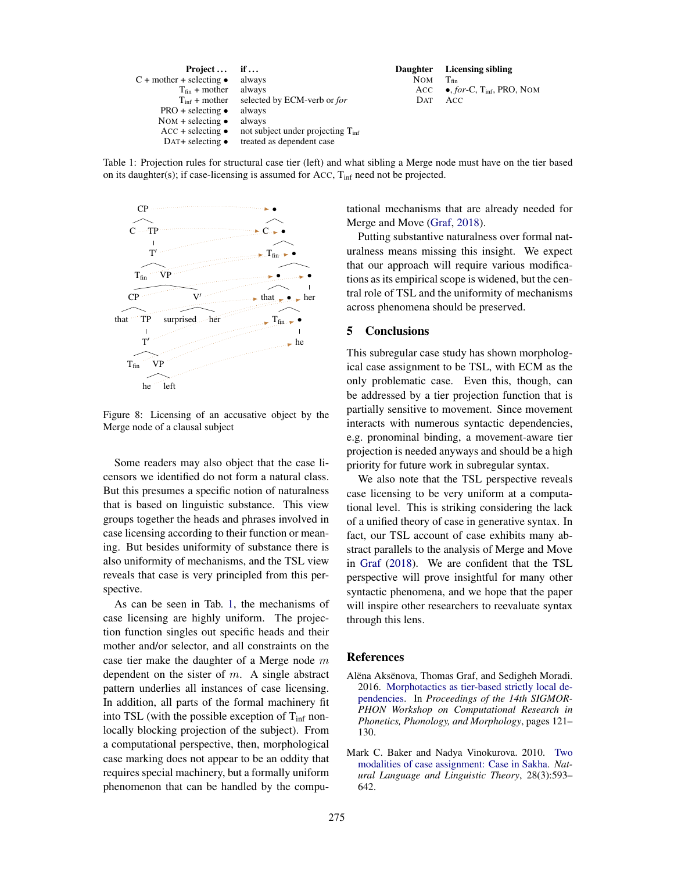| $Project \dots$                  | if $\dots$                                    |
|----------------------------------|-----------------------------------------------|
| $C + mother + selecting$ .       | always                                        |
| $T_{fin}$ + mother               | always                                        |
| $T_{\text{inf}} + \text{mother}$ | selected by ECM-verb or for                   |
| $PRO + selecting$ •              | always                                        |
| NOM + selecting $\bullet$        | always                                        |
| $ACC + selecting$                | not subject under projecting $T_{\text{inf}}$ |
| DAT+ selecting $\bullet$         | treated as dependent case                     |
|                                  |                                               |

Daughter Licensing sibling NOM  $T_{fin}$ <br>ACC  $\bullet, f$ ACC •, *for-C*, T<sub>inf</sub>, PRO, NOM<br>DAT ACC A<sub>CC</sub>

Table 1: Projection rules for structural case tier (left) and what sibling a Merge node must have on the tier based on its daughter(s); if case-licensing is assumed for Acc, T<sub>inf</sub> need not be projected.



Figure 8: Licensing of an accusative object by the Merge node of a clausal subject

Some readers may also object that the case licensors we identified do not form a natural class. But this presumes a specific notion of naturalness that is based on linguistic substance. This view groups together the heads and phrases involved in case licensing according to their function or meaning. But besides uniformity of substance there is also uniformity of mechanisms, and the TSL view reveals that case is very principled from this perspective.

As can be seen in Tab. 1, the mechanisms of case licensing are highly uniform. The projection function singles out specific heads and their mother and/or selector, and all constraints on the case tier make the daughter of a Merge node  $m$ dependent on the sister of  $m$ . A single abstract pattern underlies all instances of case licensing. In addition, all parts of the formal machinery fit into TSL (with the possible exception of  $T_{\text{inf}}$  nonlocally blocking projection of the subject). From a computational perspective, then, morphological case marking does not appear to be an oddity that requires special machinery, but a formally uniform phenomenon that can be handled by the computational mechanisms that are already needed for Merge and Move (Graf, 2018).

Putting substantive naturalness over formal naturalness means missing this insight. We expect that our approach will require various modifications as its empirical scope is widened, but the central role of TSL and the uniformity of mechanisms across phenomena should be preserved.

#### 5 Conclusions

This subregular case study has shown morphological case assignment to be TSL, with ECM as the only problematic case. Even this, though, can be addressed by a tier projection function that is partially sensitive to movement. Since movement interacts with numerous syntactic dependencies, e.g. pronominal binding, a movement-aware tier projection is needed anyways and should be a high priority for future work in subregular syntax.

We also note that the TSL perspective reveals case licensing to be very uniform at a computational level. This is striking considering the lack of a unified theory of case in generative syntax. In fact, our TSL account of case exhibits many abstract parallels to the analysis of Merge and Move in Graf (2018). We are confident that the TSL perspective will prove insightful for many other syntactic phenomena, and we hope that the paper will inspire other researchers to reevaluate syntax through this lens.

#### **References**

- Alëna Aksënova, Thomas Graf, and Sedigheh Moradi. 2016. Morphotactics as tier-based strictly local dependencies. In *Proceedings of the 14th SIGMOR-PHON Workshop on Computational Research in Phonetics, Phonology, and Morphology*, pages 121– 130.
- Mark C. Baker and Nadya Vinokurova. 2010. Two modalities of case assignment: Case in Sakha. *Natural Language and Linguistic Theory*, 28(3):593– 642.